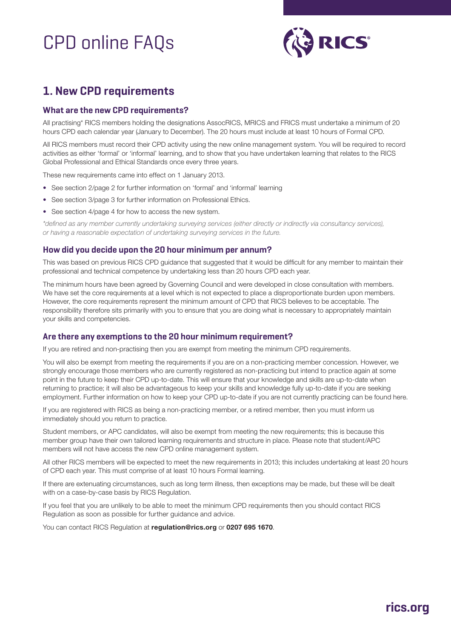# CPD online FAQs



# **1. New CPD requirements**

### **What are the new CPD requirements?**

All practising\* RICS members holding the designations AssocRICS, MRICS and FRICS must undertake a minimum of 20 hours CPD each calendar year (January to December). The 20 hours must include at least 10 hours of Formal CPD.

All RICS members must record their CPD activity using the new online management system. You will be required to record activities as either 'formal' or 'informal' learning, and to show that you have undertaken learning that relates to the RICS Global Professional and Ethical Standards once every three years.

These new requirements came into effect on 1 January 2013.

- See section 2/page 2 for further information on 'formal' and 'informal' learning
- See section 3/page 3 for further information on Professional Ethics.
- See section 4/page 4 for how to access the new system.

*\*defined as any member currently undertaking surveying services (either directly or indirectly via consultancy services), or having a reasonable expectation of undertaking surveying services in the future.*

#### **How did you decide upon the 20 hour minimum per annum?**

This was based on previous RICS CPD guidance that suggested that it would be difficult for any member to maintain their professional and technical competence by undertaking less than 20 hours CPD each year.

The minimum hours have been agreed by Governing Council and were developed in close consultation with members. We have set the core requirements at a level which is not expected to place a disproportionate burden upon members. However, the core requirements represent the minimum amount of CPD that RICS believes to be acceptable. The responsibility therefore sits primarily with you to ensure that you are doing what is necessary to appropriately maintain your skills and competencies.

#### **Are there any exemptions to the 20 hour minimum requirement?**

If you are retired and non-practising then you are exempt from meeting the minimum CPD requirements.

You will also be exempt from meeting the requirements if you are on a non-practicing member concession. However, we strongly encourage those members who are currently registered as non-practicing but intend to practice again at some point in the future to keep their CPD up-to-date. This will ensure that your knowledge and skills are up-to-date when returning to practice; it will also be advantageous to keep your skills and knowledge fully up-to-date if you are seeking employment. Further information on how to keep your CPD up-to-date if you are not currently practicing can be found here.

If you are registered with RICS as being a non-practicing member, or a retired member, then you must inform us immediately should you return to practice.

Student members, or APC candidates, will also be exempt from meeting the new requirements; this is because this member group have their own tailored learning requirements and structure in place. Please note that student/APC members will not have access the new CPD online management system.

All other RICS members will be expected to meet the new requirements in 2013; this includes undertaking at least 20 hours of CPD each year. This must comprise of at least 10 hours Formal learning.

If there are extenuating circumstances, such as long term illness, then exceptions may be made, but these will be dealt with on a case-by-case basis by RICS Regulation.

If you feel that you are unlikely to be able to meet the minimum CPD requirements then you should contact RICS Regulation as soon as possible for further guidance and advice.

You can contact RICS Regulation at **regulation@rics.org** or **0207 695 1670**.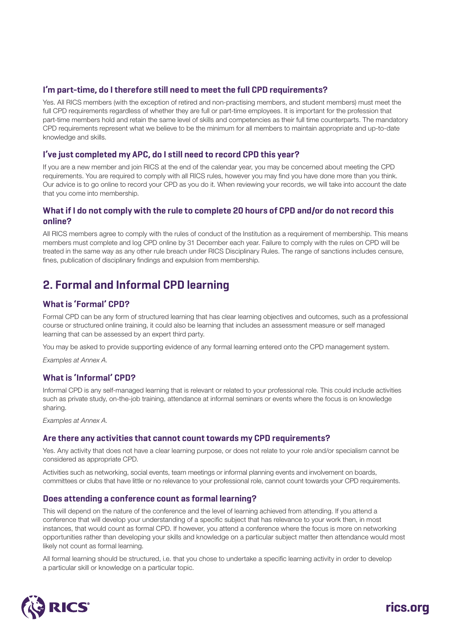### **I'm part-time, do I therefore still need to meet the full CPD requirements?**

Yes. All RICS members (with the exception of retired and non-practising members, and student members) must meet the full CPD requirements regardless of whether they are full or part-time employees. It is important for the profession that part-time members hold and retain the same level of skills and competencies as their full time counterparts. The mandatory CPD requirements represent what we believe to be the minimum for all members to maintain appropriate and up-to-date knowledge and skills.

### **I've just completed my APC, do I still need to record CPD this year?**

If you are a new member and join RICS at the end of the calendar year, you may be concerned about meeting the CPD requirements. You are required to comply with all RICS rules, however you may find you have done more than you think. Our advice is to go online to record your CPD as you do it. When reviewing your records, we will take into account the date that you come into membership.

### **What if I do not comply with the rule to complete 20 hours of CPD and/or do not record this online?**

All RICS members agree to comply with the rules of conduct of the Institution as a requirement of membership. This means members must complete and log CPD online by 31 December each year. Failure to comply with the rules on CPD will be treated in the same way as any other rule breach under RICS Disciplinary Rules. The range of sanctions includes censure, fines, publication of disciplinary findings and expulsion from membership.

## **2. Formal and Informal CPD learning**

### **What is 'Formal' CPD?**

Formal CPD can be any form of structured learning that has clear learning objectives and outcomes, such as a professional course or structured online training, it could also be learning that includes an assessment measure or self managed learning that can be assessed by an expert third party.

You may be asked to provide supporting evidence of any formal learning entered onto the CPD management system.

*Examples at Annex A.*

### **What is 'Informal' CPD?**

Informal CPD is any self-managed learning that is relevant or related to your professional role. This could include activities such as private study, on-the-job training, attendance at informal seminars or events where the focus is on knowledge sharing.

*Examples at Annex A.*

### **Are there any activities that cannot count towards my CPD requirements?**

Yes. Any activity that does not have a clear learning purpose, or does not relate to your role and/or specialism cannot be considered as appropriate CPD.

Activities such as networking, social events, team meetings or informal planning events and involvement on boards, committees or clubs that have little or no relevance to your professional role, cannot count towards your CPD requirements.

### **Does attending a conference count as formal learning?**

This will depend on the nature of the conference and the level of learning achieved from attending. If you attend a conference that will develop your understanding of a specific subject that has relevance to your work then, in most instances, that would count as formal CPD. If however, you attend a conference where the focus is more on networking opportunities rather than developing your skills and knowledge on a particular subject matter then attendance would most likely not count as formal learning.

All formal learning should be structured, i.e. that you chose to undertake a specific learning activity in order to develop a particular skill or knowledge on a particular topic.

**rics.org**

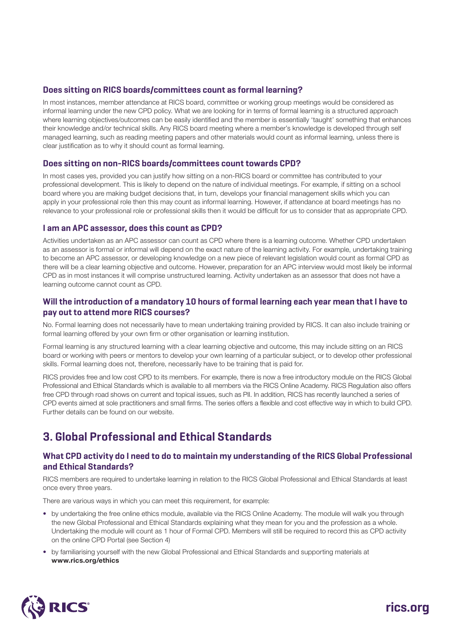### **Does sitting on RICS boards/committees count as formal learning?**

In most instances, member attendance at RICS board, committee or working group meetings would be considered as informal learning under the new CPD policy. What we are looking for in terms of formal learning is a structured approach where learning objectives/outcomes can be easily identified and the member is essentially 'taught' something that enhances their knowledge and/or technical skills. Any RICS board meeting where a member's knowledge is developed through self managed learning, such as reading meeting papers and other materials would count as informal learning, unless there is clear justification as to why it should count as formal learning.

### **Does sitting on non-RICS boards/committees count towards CPD?**

In most cases yes, provided you can justify how sitting on a non-RICS board or committee has contributed to your professional development. This is likely to depend on the nature of individual meetings. For example, if sitting on a school board where you are making budget decisions that, in turn, develops your financial management skills which you can apply in your professional role then this may count as informal learning. However, if attendance at board meetings has no relevance to your professional role or professional skills then it would be difficult for us to consider that as appropriate CPD.

### **I am an APC assessor, does this count as CPD?**

Activities undertaken as an APC assessor can count as CPD where there is a learning outcome. Whether CPD undertaken as an assessor is formal or informal will depend on the exact nature of the learning activity. For example, undertaking training to become an APC assessor, or developing knowledge on a new piece of relevant legislation would count as formal CPD as there will be a clear learning objective and outcome. However, preparation for an APC interview would most likely be informal CPD as in most instances it will comprise unstructured learning. Activity undertaken as an assessor that does not have a learning outcome cannot count as CPD.

### **Will the introduction of a mandatory 10 hours of formal learning each year mean that I have to pay out to attend more RICS courses?**

No. Formal learning does not necessarily have to mean undertaking training provided by RICS. It can also include training or formal learning offered by your own firm or other organisation or learning institution.

Formal learning is any structured learning with a clear learning objective and outcome, this may include sitting on an RICS board or working with peers or mentors to develop your own learning of a particular subject, or to develop other professional skills. Formal learning does not, therefore, necessarily have to be training that is paid for.

RICS provides free and low cost CPD to its members. For example, there is now a free introductory module on the RICS Global Professional and Ethical Standards which is available to all members via the RICS Online Academy. RICS Regulation also offers free CPD through road shows on current and topical issues, such as PII. In addition, RICS has recently launched a series of CPD events aimed at sole practitioners and small firms. The series offers a flexible and cost effective way in which to build CPD. Further details can be found on our website.

### **3. Global Professional and Ethical Standards**

### **What CPD activity do I need to do to maintain my understanding of the RICS Global Professional and Ethical Standards?**

RICS members are required to undertake learning in relation to the RICS Global Professional and Ethical Standards at least once every three years.

There are various ways in which you can meet this requirement, for example:

- by undertaking the free online ethics module, available via the RICS Online Academy. The module will walk you through the new Global Professional and Ethical Standards explaining what they mean for you and the profession as a whole. Undertaking the module will count as 1 hour of Formal CPD. Members will still be required to record this as CPD activity on the online CPD Portal (see Section 4)
- by familiarising yourself with the new Global Professional and Ethical Standards and supporting materials at **www.rics.org/ethics**

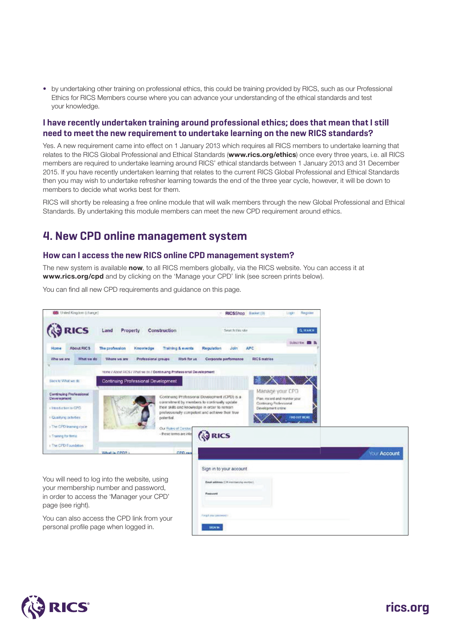• by undertaking other training on professional ethics, this could be training provided by RICS, such as our Professional Ethics for RICS Members course where you can advance your understanding of the ethical standards and test your knowledge.

### **I have recently undertaken training around professional ethics; does that mean that I still need to meet the new requirement to undertake learning on the new RICS standards?**

Yes. A new requirement came into effect on 1 January 2013 which requires all RICS members to undertake learning that relates to the RICS Global Professional and Ethical Standards (**www.rics.org/ethics**) once every three years, i.e. all RICS members are required to undertake learning around RICS' ethical standards between 1 January 2013 and 31 December 2015. If you have recently undertaken learning that relates to the current RICS Global Professional and Ethical Standards then you may wish to undertake refresher learning towards the end of the three year cycle, however, it will be down to members to decide what works best for them.

RICS will shortly be releasing a free online module that will walk members through the new Global Professional and Ethical Standards. By undertaking this module members can meet the new CPD requirement around ethics.

### **4. New CPD online management system**

### **How can I access the new RICS online CPD management system?**

The new system is available **now**, to all RICS members globally, via the RICS website. You can access it at **www.rics.org/cpd** and by clicking on the 'Manage your CPD' link (see screen prints below).

You can find all new CPD requirements and guidance on this page.



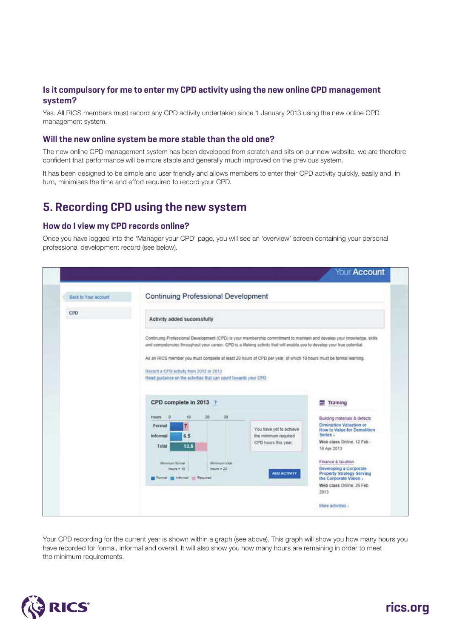### **Is it compulsory for me to enter my CPD activity using the new online CPD management system?**

Yes. All RICS members must record any CPD activity undertaken since 1 January 2013 using the new online CPD management system.

### **Will the new online system be more stable than the old one?**

The new online CPD management system has been developed from scratch and sits on our new website, we are therefore confident that performance will be more stable and generally much improved on the previous system.

It has been designed to be simple and user friendly and allows members to enter their CPD activity quickly, easily and, in turn, minimises the time and effort required to record your CPD.

### **5. Recording CPD using the new system**

### **How do I view my CPD records online?**

Once you have logged into the 'Manager your CPD' page, you will see an 'overview' screen containing your personal professional development record (see below).

|                             |                                                                                                                                                                                                                                                                                                                                                                                                                                                                                       | Your Account                                                                                                                                    |  |  |  |
|-----------------------------|---------------------------------------------------------------------------------------------------------------------------------------------------------------------------------------------------------------------------------------------------------------------------------------------------------------------------------------------------------------------------------------------------------------------------------------------------------------------------------------|-------------------------------------------------------------------------------------------------------------------------------------------------|--|--|--|
| <b>Back to Your account</b> | <b>Continuing Professional Development</b>                                                                                                                                                                                                                                                                                                                                                                                                                                            |                                                                                                                                                 |  |  |  |
| CPD                         | Activity added successfully                                                                                                                                                                                                                                                                                                                                                                                                                                                           |                                                                                                                                                 |  |  |  |
|                             | Continuing Professional Development (CPD) is your membership commitment to maintain and develop your knowledge, skills<br>and competencies throughout your career. CPD is a lifelong activity that will enable you to develop your true potential.<br>As an RICS member you must complete at least 20 hours of CPD per year, of which 10 hours must be formal learning.<br>Record a CPD activity from 2012 or 2013<br>Read guidance on the activities that can count towards your CPD |                                                                                                                                                 |  |  |  |
|                             | CPD complete in 2013 ?                                                                                                                                                                                                                                                                                                                                                                                                                                                                | Training<br><b>MT</b>                                                                                                                           |  |  |  |
|                             | 20 <sub>1</sub><br>30<br>10<br>Hours<br>$\sim$ 0<br>Formal<br>You have yet to achieve<br>6.5<br>the minimum required<br>Informal<br>CPD hours this year.<br>Total<br>13.5                                                                                                                                                                                                                                                                                                             | Building materials & defects<br>Diminution Valuation or<br>How to Value for Demolition<br>Series -<br>Web class Online, 12 Feb -<br>16 Apr 2013 |  |  |  |
|                             | Minimum formal<br>Minimum total<br>hours # 10<br>hours = 20<br><b>ADD ACTIVITY</b><br>Formal Minformal - Required                                                                                                                                                                                                                                                                                                                                                                     | Finance & taxation<br>Developing a Corporate<br>Property Strategy Serving<br>the Corporate Vision .<br>Web class Online, 26 Feb.<br>2013        |  |  |  |
|                             |                                                                                                                                                                                                                                                                                                                                                                                                                                                                                       | More activities »                                                                                                                               |  |  |  |

Your CPD recording for the current year is shown within a graph (see above). This graph will show you how many hours you have recorded for formal, informal and overall. It will also show you how many hours are remaining in order to meet the minimum requirements.



# **rics.org**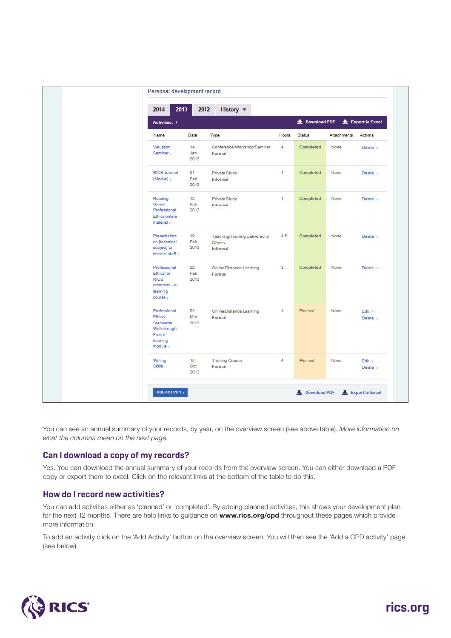| 2014<br><b>Activities: 7</b>                                                             | 2013<br>2012      | History $\blacktriangledown$                                | Download PDF<br>Export to Excel |               |                    |                    |
|------------------------------------------------------------------------------------------|-------------------|-------------------------------------------------------------|---------------------------------|---------------|--------------------|--------------------|
| Name                                                                                     | Date              | Type                                                        | Hours                           | <b>Status</b> | <b>Attachments</b> | Actions            |
| Valuation<br>Seminar >                                                                   | 14<br>Jan<br>2013 | Conference/Workshop/Seminar<br>Formal                       | $\overline{4}$                  | Completed     | None               | Delete >           |
| RICS Journal<br>(Modus) >                                                                | 01<br>Feb<br>2013 | Private Study<br>Informal                                   | $\mathbf{1}$                    | Completed     | None               | Delete >           |
| Reading<br>Global<br>Professional<br>Ethics online<br>material >                         | 12<br>Feb<br>2013 | Private Study<br>Informal                                   | 1.                              | Completed     | None               | Delete >           |
| Presentation<br>on [technical<br>subject] to<br>internal staff >                         | 19<br>Feb<br>2013 | Teaching/Training Delivered to<br>Others<br><b>Informal</b> | 4.5                             | Completed     | None               | Delete >           |
| Professional<br>Ethics for<br><b>RICS</b><br>Members - e-<br>learning<br>course >        | 22<br>Feb<br>2013 | Online/Distance Learning<br>Formal                          | $\overline{3}$                  | Completed     | None               | Delete >           |
| Professional<br>Ethical<br>Standards<br>Walkthrough -<br>Free e-<br>learning<br>module > | 04<br>Mar<br>2013 | Online/Distance Learning<br>Formal                          | $\mathbf{1}$                    | Planned       | None               | Edit ><br>Delete > |
| Writing<br>Skills >                                                                      | 15<br>Oct<br>2013 | <b>Training Course</b><br>Formal                            | $\overline{4}$                  | Planned       | None               | Edit ><br>Delete > |

You can see an annual summary of your records, by year, on the overview screen (see above table). *More information on what the columns mean on the next page*.

### **Can I download a copy of my records?**

Yes. You can download the annual summary of your records from the overview screen. You can either download a PDF copy or export them to excel. Click on the relevant links at the bottom of the table to do this.

### **How do I record new activities?**

You can add activities either as 'planned' or 'completed'. By adding planned activities, this shows your development plan for the next 12 months. There are help links to guidance on **www.rics.org/cpd** throughout these pages which provide more information.

To add an activity click on the 'Add Activity' button on the overview screen. You will then see the 'Add a CPD activity' page (see below).

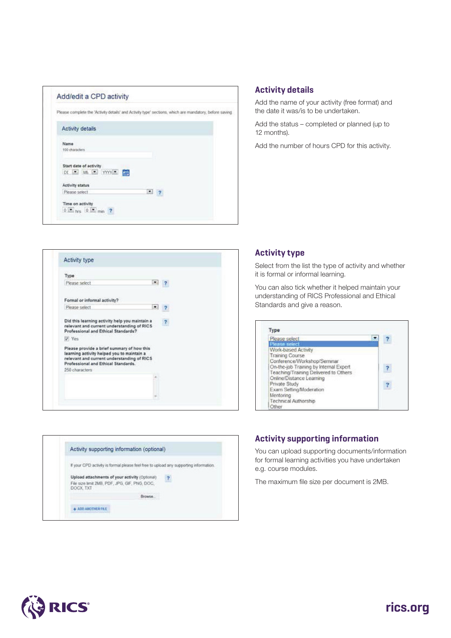

### **Activity details**

Add the name of your activity (free format) and the date it was/is to be undertaken.

Add the status – completed or planned (up to 12 months).

Add the number of hours CPD for this activity.

| Type                                                                                                                                                                                            |                |
|-------------------------------------------------------------------------------------------------------------------------------------------------------------------------------------------------|----------------|
| Please select                                                                                                                                                                                   | $-7$           |
| Formal or informal activity?                                                                                                                                                                    |                |
| Please select<br>۰                                                                                                                                                                              |                |
| Did this learning activity help you maintain a<br>relevant and current understanding of RICS<br>Professional and Ethical Standards?                                                             | $\overline{?}$ |
| V Yes                                                                                                                                                                                           |                |
| Please provide a brief summary of how this<br>learning activity helped you to maintain a<br>relevant and current understanding of RICS<br>Professional and Ethical Standards.<br>250 characters |                |
|                                                                                                                                                                                                 |                |
|                                                                                                                                                                                                 |                |



### **Activity type**

Select from the list the type of activity and whether it is formal or informal learning.

You can also tick whether it helped maintain your understanding of RICS Professional and Ethical Standards and give a reason.

| Please select                          |  |
|----------------------------------------|--|
| Please select                          |  |
| Work-based Activity                    |  |
| Training Course                        |  |
| Conference/Workshop/Seminar            |  |
| On-the-job Training by Internal Expert |  |
| Teaching/Training Delivered to Others  |  |
| Online/Distance Learning               |  |
| Private Study                          |  |
| Exam Setting/Moderation                |  |
| Mentoring                              |  |
| Technical Authorship                   |  |
| Other                                  |  |

### **Activity supporting information**

You can upload supporting documents/information for formal learning activities you have undertaken e.g. course modules.

The maximum file size per document is 2MB.



# **rics.org**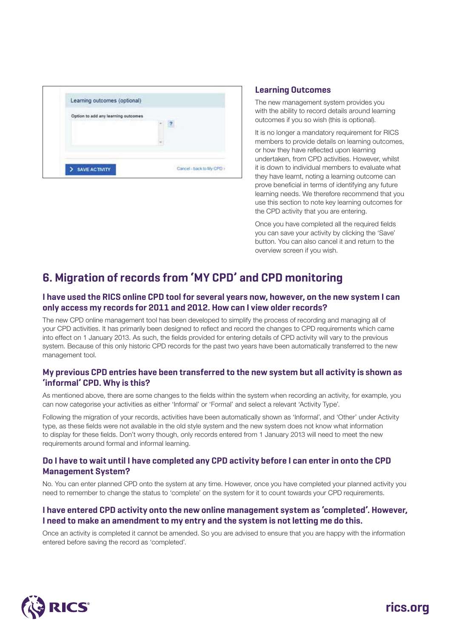

### **Learning Outcomes**

The new management system provides you with the ability to record details around learning outcomes if you so wish (this is optional).

It is no longer a mandatory requirement for RICS members to provide details on learning outcomes, or how they have reflected upon learning undertaken, from CPD activities. However, whilst it is down to individual members to evaluate what they have learnt, noting a learning outcome can prove beneficial in terms of identifying any future learning needs. We therefore recommend that you use this section to note key learning outcomes for the CPD activity that you are entering.

Once you have completed all the required fields you can save your activity by clicking the 'Save' button. You can also cancel it and return to the overview screen if you wish.

# **6. Migration of records from 'MY CPD' and CPD monitoring**

### **I have used the RICS online CPD tool for several years now, however, on the new system I can only access my records for 2011 and 2012. How can I view older records?**

The new CPD online management tool has been developed to simplify the process of recording and managing all of your CPD activities. It has primarily been designed to reflect and record the changes to CPD requirements which came into effect on 1 January 2013. As such, the fields provided for entering details of CPD activity will vary to the previous system. Because of this only historic CPD records for the past two years have been automatically transferred to the new management tool.

### **My previous CPD entries have been transferred to the new system but all activity is shown as 'informal' CPD. Why is this?**

As mentioned above, there are some changes to the fields within the system when recording an activity, for example, you can now categorise your activities as either 'Informal' or 'Formal' and select a relevant 'Activity Type'.

Following the migration of your records, activities have been automatically shown as 'Informal', and 'Other' under Activity type, as these fields were not available in the old style system and the new system does not know what information to display for these fields. Don't worry though, only records entered from 1 January 2013 will need to meet the new requirements around formal and informal learning.

### **Do I have to wait until I have completed any CPD activity before I can enter in onto the CPD Management System?**

No. You can enter planned CPD onto the system at any time. However, once you have completed your planned activity you need to remember to change the status to 'complete' on the system for it to count towards your CPD requirements.

### **I have entered CPD activity onto the new online management system as 'completed'. However, I need to make an amendment to my entry and the system is not letting me do this.**

Once an activity is completed it cannot be amended. So you are advised to ensure that you are happy with the information entered before saving the record as 'completed'.